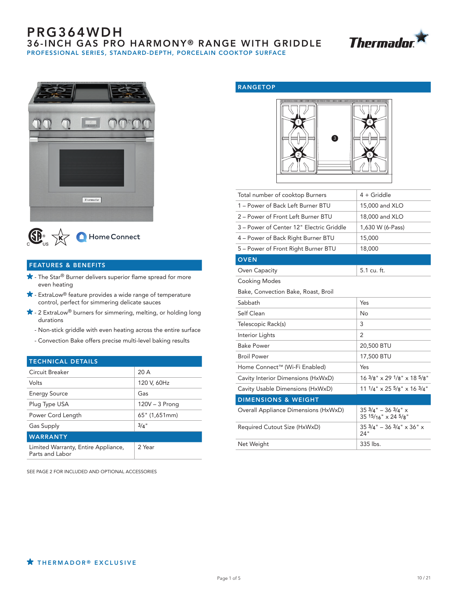## PRG364WDH **36-INCH GAS PRO HARMONY® RANGE WITH GRIDDLE** PROFESSIONAL SERIES, STANDARD-DEPTH, PORCELAIN COOKTOP SURFACE







### FEATURES & BENEFITS

- **★** The Star<sup>®</sup> Burner delivers superior flame spread for more even heating
- $\bigstar$  ExtraLow® feature provides a wide range of temperature control, perfect for simmering delicate sauces
- \* 2 ExtraLow<sup>®</sup> burners for simmering, melting, or holding long durations
	- Non-stick griddle with even heating across the entire surface
	- Convection Bake offers precise multi-level baking results

# TECHNICAL DETAILS

| Circuit Breaker                                        | 20A              |  |  |
|--------------------------------------------------------|------------------|--|--|
| Volts                                                  | 120 V, 60Hz      |  |  |
| <b>Energy Source</b>                                   | Gas              |  |  |
| Plug Type USA                                          | $120V - 3$ Prong |  |  |
| Power Cord Length                                      | $65"$ (1,651mm)  |  |  |
| <b>Gas Supply</b>                                      | $3/4$ "          |  |  |
| <b>WARRANTY</b>                                        |                  |  |  |
| Limited Warranty, Entire Appliance,<br>Parts and Labor | 2 Year           |  |  |

SEE PAGE 2 FOR INCLUDED AND OPTIONAL ACCESSORIES

### RANGETOP



| Total number of cooktop Burners          | $4 +$ Griddle                                                 |  |  |  |
|------------------------------------------|---------------------------------------------------------------|--|--|--|
| 1 - Power of Back Left Burner BTU        | 15,000 and XLO                                                |  |  |  |
| 2 - Power of Front Left Burner BTU       | 18,000 and XLO                                                |  |  |  |
| 3 - Power of Center 12" Electric Griddle | 1,630 W (6-Pass)                                              |  |  |  |
| 4 - Power of Back Right Burner BTU       | 15,000                                                        |  |  |  |
| 5 - Power of Front Right Burner BTU      | 18,000                                                        |  |  |  |
| <b>OVEN</b>                              |                                                               |  |  |  |
| Oven Capacity                            | 5.1 cu. ft.                                                   |  |  |  |
| <b>Cooking Modes</b>                     |                                                               |  |  |  |
| Bake, Convection Bake, Roast, Broil      |                                                               |  |  |  |
| Sabbath                                  | Yes                                                           |  |  |  |
| Self Clean                               | No                                                            |  |  |  |
| Telescopic Rack(s)                       | 3                                                             |  |  |  |
| Interior Lights                          | 2                                                             |  |  |  |
| <b>Bake Power</b>                        | 20,500 BTU                                                    |  |  |  |
| <b>Broil Power</b>                       | 17,500 BTU                                                    |  |  |  |
| Home Connect™ (Wi-Fi Enabled)            | Yes                                                           |  |  |  |
| Cavity Interior Dimensions (HxWxD)       | $16\frac{3}{8}$ " x 29 $1\frac{1}{8}$ " x 18 $5\frac{1}{8}$ " |  |  |  |
| Cavity Usable Dimensions (HxWxD)         | $111/4$ " $\times$ 25 $5/8$ " $\times$ 16 $3/4$ "             |  |  |  |
| <b>DIMENSIONS &amp; WEIGHT</b>           |                                                               |  |  |  |
| Overall Appliance Dimensions (HxWxD)     | $353/4" - 363/4"$ x<br>$3515/16" \times 245/8"$               |  |  |  |
| Required Cutout Size (HxWxD)             | $35\frac{3}{4}$ " - 36 $\frac{3}{4}$ " x 36" x<br>24"         |  |  |  |
| Net Weight                               | 335 lbs.                                                      |  |  |  |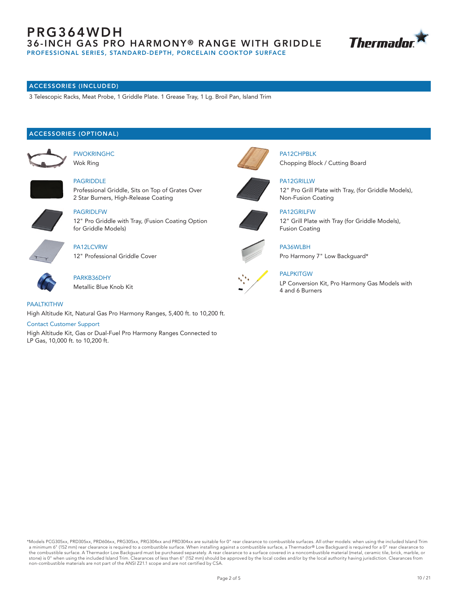## PRG364WDH 36-INCH GAS PRO HARMONY® RANGE WITH GRIDDLE PROFESSIONAL SERIES, STANDARD-DEPTH, PORCELAIN COOKTOP SURFACE



## ACCESSORIES (INCLUDED)

3 Telescopic Racks, Meat Probe, 1 Griddle Plate. 1 Grease Tray, 1 Lg. Broil Pan, Island Trim

### ACCESSORIES (OPTIONAL)



PWOKRINGHC Wok Ring

PAGRIDLFW



PAGRIDDLE Professional Griddle, Sits on Top of Grates Over





PA12LCVRW for Griddle Models)

12" Pro Griddle with Tray, (Fusion Coating Option

12" Professional Griddle Cover



PARKB36DHY Metallic Blue Knob Kit



High Altitude Kit, Natural Gas Pro Harmony Ranges, 5,400 ft. to 10,200 ft.

#### Contact Customer Support

High Altitude Kit, Gas or Dual-Fuel Pro Harmony Ranges Connected to LP Gas, 10,000 ft. to 10,200 ft.



PA12CHPBLK Chopping Block / Cutting Board



PA12GRILLW

12" Pro Grill Plate with Tray, (for Griddle Models), Non-Fusion Coating



PA12GRILFW 12" Grill Plate with Tray (for Griddle Models), Fusion Coating



PA36WLBH Pro Harmony 7" Low Backguard\*

### **PALPKITGW**

LP Conversion Kit, Pro Harmony Gas Models with 4 and 6 Burners

\*Models PCG305xx, PRD305xx, PRD606xx, PRG305xx, PRG304xx and PRD304xx are suitable for 0" rear clearance to combustible surfaces. All other models: when using the included Island Trim a minimum 6" (152 mm) rear clearance is required to a combustible surface. When installing against a combustible surface, a Thermador® Low Backguard is required for a 0" rear clearance to the combustible surface. A Thermador Low Backguard must be purchased separately. A rear clearance to a surface covered in a noncombustible material (metal, ceramic tile, brick, marble, or stone) is 0" when using the included Island Trim. Clearances of less than 6" (152 mm) should be approved by the local codes and/or by the local authority having jurisdiction. Clearances from non-combustible materials are not part of the ANSI Z21.1 scope and are not certified by CSA.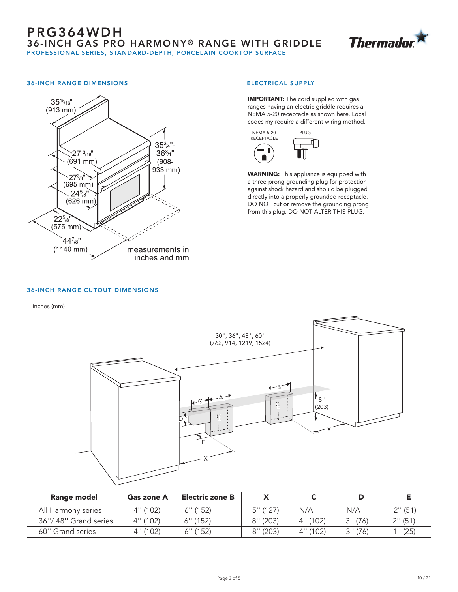

### 36-INCH RANGE DIMENSIONS



#### ELECTRICAL SUPPLY

**IMPORTANT:** The cord supplied with gas ranges having an electric griddle requires a NEMA 5-20 receptacle as shown here. Local codes my require a different wiring method.



WARNING: This appliance is equipped with a three-prong grounding plug for protection against shock hazard and should be plugged directly into a properly grounded receptacle. DO NOT cut or remove the grounding prong from this plug. DO NOT ALTER THIS PLUG.

#### 36-INCH RANGE CUTOUT DIMENSIONS



| Range model          | Gas zone A  | Electric zone B |             |          |          |         |
|----------------------|-------------|-----------------|-------------|----------|----------|---------|
| All Harmony series   | $4''$ (102) | $6''$ (152)     | 5''(127)    | N/A      | N/A      | 2''(51) |
| 36"/48" Grand series | 4" (102)    | $6''$ (152)     | $8''$ (203) | 4''(102) | 3''(76)  | 2''(51) |
| 60" Grand series     | 4''(102)    | $6''$ (152)     | $8''$ (203) | 4" (102) | 3'' (76) | 1''(25) |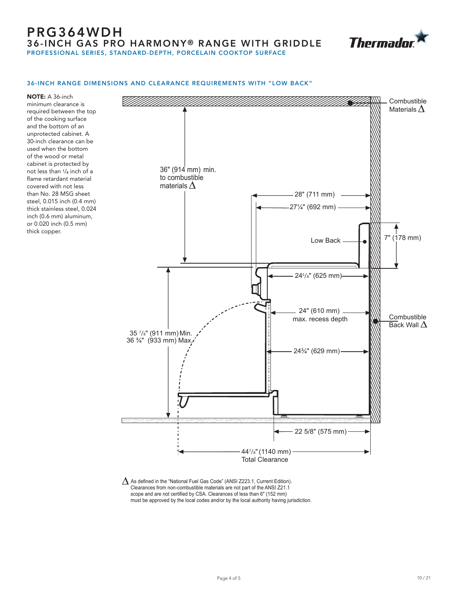## PRG364WDH **36-INCH GAS PRO HARMONY® RANGE WITH GRIDDLE** PROFESSIONAL SERIES, STANDARD-DEPTH, PORCELAIN COOKTOP SURFACE



#### 36-INCH RANGE DIMENSIONS AND CLEARANCE REQUIREMENTS WITH "LOW BACK"

NOTE: A 36-inch minimum clearance is required between the top of the cooking surface and the bottom of an unprotected cabinet. A 30-inch clearance can be used when the bottom of the wood or metal cabinet is protected by not less than 1/4 inch of a flame retardant material covered with not less than No. 28 MSG sheet steel, 0.015 inch (0.4 mm) thick stainless steel, 0.024 inch (0.6 mm) aluminum, or 0.020 inch (0.5 mm) thick copper.



 $\Delta$  As defined in the "National Fuel Gas Code" (ANSI Z223.1, Current Edition). Clearances from non-combustible materials are not part of the ANSI Z21.1 scope and are not certified by CSA. Clearances of less than 6" (152 mm) must be approved by the local codes and/or by the local authority having jurisdiction.